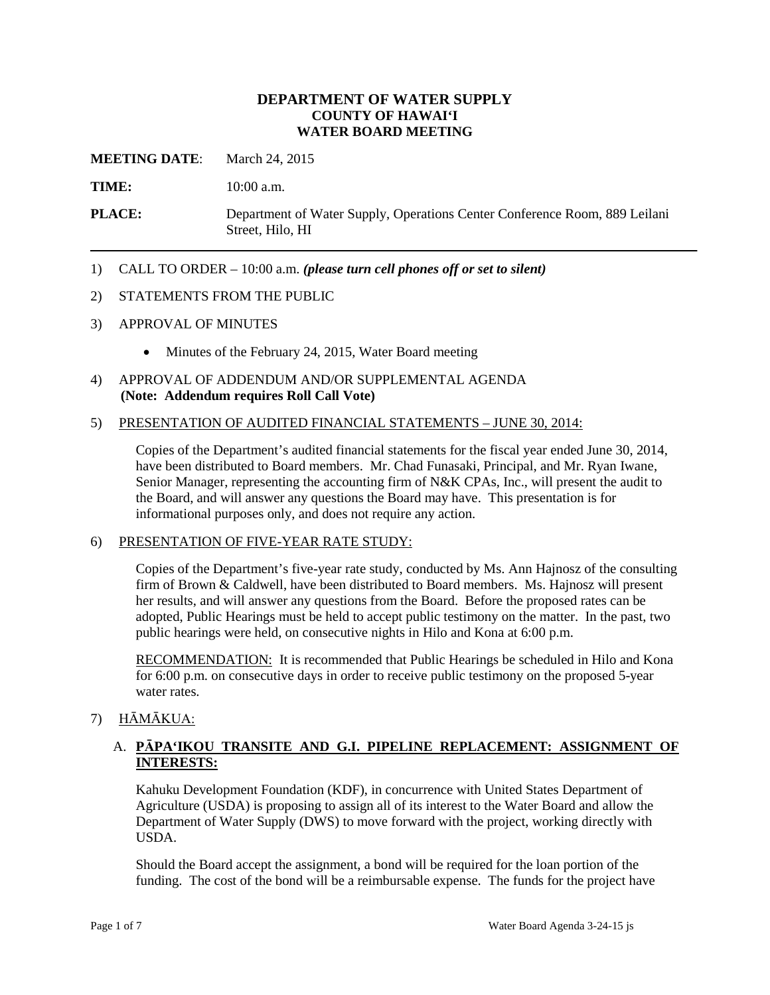#### **DEPARTMENT OF WATER SUPPLY COUNTY OF HAWAI'I WATER BOARD MEETING**

**MEETING DATE**: March 24, 2015

**TIME:** 10:00 a.m.

**PLACE:** Department of Water Supply, Operations Center Conference Room, 889 Leilani Street, Hilo, HI

1) CALL TO ORDER – 10:00 a.m. *(please turn cell phones off or set to silent)*

#### 2) STATEMENTS FROM THE PUBLIC

- 3) APPROVAL OF MINUTES
	- Minutes of the February 24, 2015, Water Board meeting
- 4) APPROVAL OF ADDENDUM AND/OR SUPPLEMENTAL AGENDA **(Note: Addendum requires Roll Call Vote)**

#### 5) PRESENTATION OF AUDITED FINANCIAL STATEMENTS – JUNE 30, 2014:

Copies of the Department's audited financial statements for the fiscal year ended June 30, 2014, have been distributed to Board members. Mr. Chad Funasaki, Principal, and Mr. Ryan Iwane, Senior Manager, representing the accounting firm of N&K CPAs, Inc., will present the audit to the Board, and will answer any questions the Board may have. This presentation is for informational purposes only, and does not require any action.

#### 6) PRESENTATION OF FIVE-YEAR RATE STUDY:

Copies of the Department's five-year rate study, conducted by Ms. Ann Hajnosz of the consulting firm of Brown & Caldwell, have been distributed to Board members. Ms. Hajnosz will present her results, and will answer any questions from the Board. Before the proposed rates can be adopted, Public Hearings must be held to accept public testimony on the matter. In the past, two public hearings were held, on consecutive nights in Hilo and Kona at 6:00 p.m.

RECOMMENDATION: It is recommended that Public Hearings be scheduled in Hilo and Kona for 6:00 p.m. on consecutive days in order to receive public testimony on the proposed 5-year water rates.

#### 7) HĀMĀKUA:

#### A. **PĀPA'IKOU TRANSITE AND G.I. PIPELINE REPLACEMENT: ASSIGNMENT OF INTERESTS:**

Kahuku Development Foundation (KDF), in concurrence with United States Department of Agriculture (USDA) is proposing to assign all of its interest to the Water Board and allow the Department of Water Supply (DWS) to move forward with the project, working directly with USDA.

Should the Board accept the assignment, a bond will be required for the loan portion of the funding. The cost of the bond will be a reimbursable expense. The funds for the project have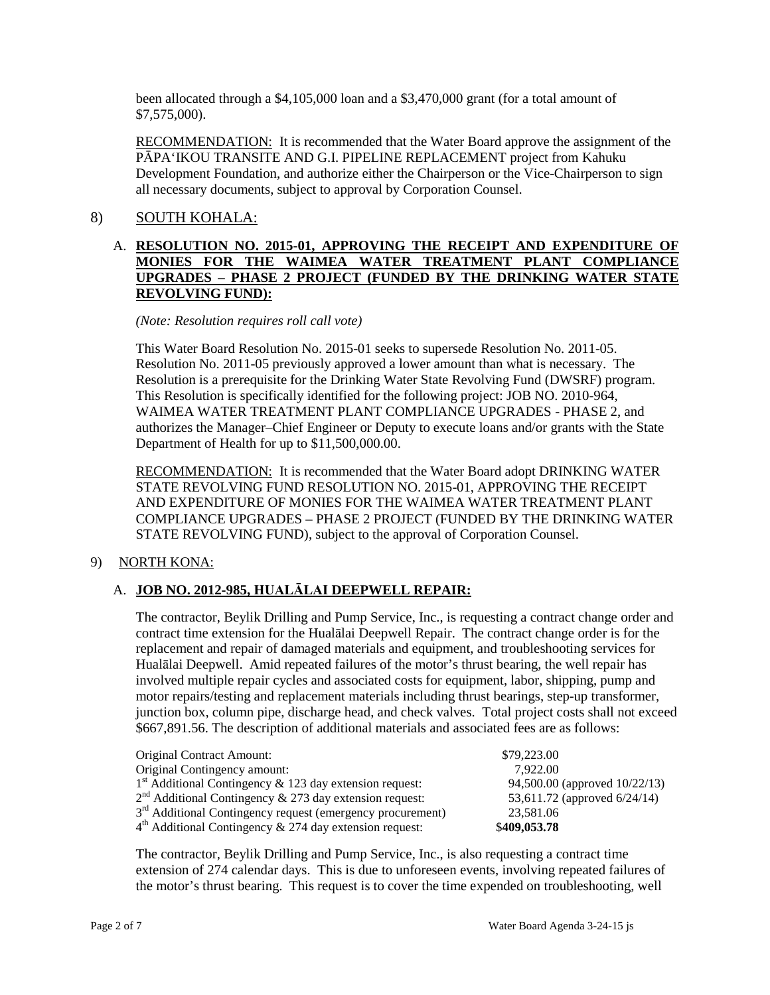been allocated through a \$4,105,000 loan and a \$3,470,000 grant (for a total amount of \$7,575,000).

RECOMMENDATION: It is recommended that the Water Board approve the assignment of the PĀPA'IKOU TRANSITE AND G.I. PIPELINE REPLACEMENT project from Kahuku Development Foundation, and authorize either the Chairperson or the Vice-Chairperson to sign all necessary documents, subject to approval by Corporation Counsel.

# 8) SOUTH KOHALA:

## A. **RESOLUTION NO. 2015-01, APPROVING THE RECEIPT AND EXPENDITURE OF MONIES FOR THE WAIMEA WATER TREATMENT PLANT COMPLIANCE UPGRADES – PHASE 2 PROJECT (FUNDED BY THE DRINKING WATER STATE REVOLVING FUND):**

#### *(Note: Resolution requires roll call vote)*

This Water Board Resolution No. 2015-01 seeks to supersede Resolution No. 2011-05. Resolution No. 2011-05 previously approved a lower amount than what is necessary. The Resolution is a prerequisite for the Drinking Water State Revolving Fund (DWSRF) program. This Resolution is specifically identified for the following project: JOB NO. 2010-964, WAIMEA WATER TREATMENT PLANT COMPLIANCE UPGRADES - PHASE 2, and authorizes the Manager–Chief Engineer or Deputy to execute loans and/or grants with the State Department of Health for up to \$11,500,000.00.

RECOMMENDATION: It is recommended that the Water Board adopt DRINKING WATER STATE REVOLVING FUND RESOLUTION NO. 2015-01, APPROVING THE RECEIPT AND EXPENDITURE OF MONIES FOR THE WAIMEA WATER TREATMENT PLANT COMPLIANCE UPGRADES – PHASE 2 PROJECT (FUNDED BY THE DRINKING WATER STATE REVOLVING FUND), subject to the approval of Corporation Counsel.

## 9) NORTH KONA:

## A. **JOB NO. 2012-985, HUALĀLAI DEEPWELL REPAIR:**

The contractor, Beylik Drilling and Pump Service, Inc., is requesting a contract change order and contract time extension for the Hualālai Deepwell Repair. The contract change order is for the replacement and repair of damaged materials and equipment, and troubleshooting services for Hualālai Deepwell. Amid repeated failures of the motor's thrust bearing, the well repair has involved multiple repair cycles and associated costs for equipment, labor, shipping, pump and motor repairs/testing and replacement materials including thrust bearings, step-up transformer, junction box, column pipe, discharge head, and check valves. Total project costs shall not exceed \$667,891.56. The description of additional materials and associated fees are as follows:

| Original Contract Amount:                                              | \$79,223,00                     |  |
|------------------------------------------------------------------------|---------------------------------|--|
| Original Contingency amount:                                           | 7.922.00                        |  |
| $1st$ Additional Contingency & 123 day extension request:              | 94,500.00 (approved 10/22/13)   |  |
| $2nd$ Additional Contingency & 273 day extension request:              | 53,611.72 (approved $6/24/14$ ) |  |
| 3 <sup>rd</sup> Additional Contingency request (emergency procurement) | 23,581.06                       |  |
| $4th$ Additional Contingency & 274 day extension request:              | \$409,053.78                    |  |

The contractor, Beylik Drilling and Pump Service, Inc., is also requesting a contract time extension of 274 calendar days. This is due to unforeseen events, involving repeated failures of the motor's thrust bearing. This request is to cover the time expended on troubleshooting, well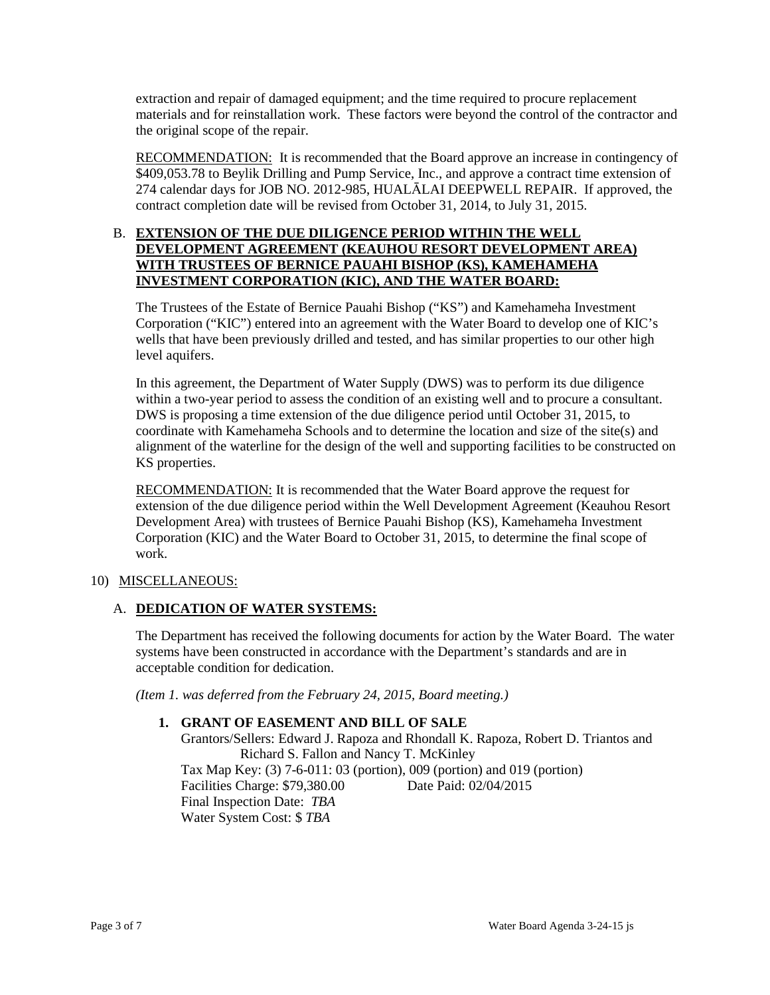extraction and repair of damaged equipment; and the time required to procure replacement materials and for reinstallation work. These factors were beyond the control of the contractor and the original scope of the repair.

RECOMMENDATION: It is recommended that the Board approve an increase in contingency of \$409,053.78 to Beylik Drilling and Pump Service, Inc., and approve a contract time extension of 274 calendar days for JOB NO. 2012-985, HUALĀLAI DEEPWELL REPAIR. If approved, the contract completion date will be revised from October 31, 2014, to July 31, 2015.

## B. **EXTENSION OF THE DUE DILIGENCE PERIOD WITHIN THE WELL DEVELOPMENT AGREEMENT (KEAUHOU RESORT DEVELOPMENT AREA) WITH TRUSTEES OF BERNICE PAUAHI BISHOP (KS), KAMEHAMEHA INVESTMENT CORPORATION (KIC), AND THE WATER BOARD:**

The Trustees of the Estate of Bernice Pauahi Bishop ("KS") and Kamehameha Investment Corporation ("KIC") entered into an agreement with the Water Board to develop one of KIC's wells that have been previously drilled and tested, and has similar properties to our other high level aquifers.

In this agreement, the Department of Water Supply (DWS) was to perform its due diligence within a two-year period to assess the condition of an existing well and to procure a consultant. DWS is proposing a time extension of the due diligence period until October 31, 2015, to coordinate with Kamehameha Schools and to determine the location and size of the site(s) and alignment of the waterline for the design of the well and supporting facilities to be constructed on KS properties.

RECOMMENDATION: It is recommended that the Water Board approve the request for extension of the due diligence period within the Well Development Agreement (Keauhou Resort Development Area) with trustees of Bernice Pauahi Bishop (KS), Kamehameha Investment Corporation (KIC) and the Water Board to October 31, 2015, to determine the final scope of work.

## 10) MISCELLANEOUS:

## A. **DEDICATION OF WATER SYSTEMS:**

The Department has received the following documents for action by the Water Board. The water systems have been constructed in accordance with the Department's standards and are in acceptable condition for dedication.

*(Item 1. was deferred from the February 24, 2015, Board meeting.)*

#### **1. GRANT OF EASEMENT AND BILL OF SALE**

Grantors/Sellers: Edward J. Rapoza and Rhondall K. Rapoza, Robert D. Triantos and Richard S. Fallon and Nancy T. McKinley Tax Map Key: (3) 7-6-011: 03 (portion), 009 (portion) and 019 (portion) Facilities Charge: \$79,380.00 Final Inspection Date: *TBA* Water System Cost: \$ *TBA*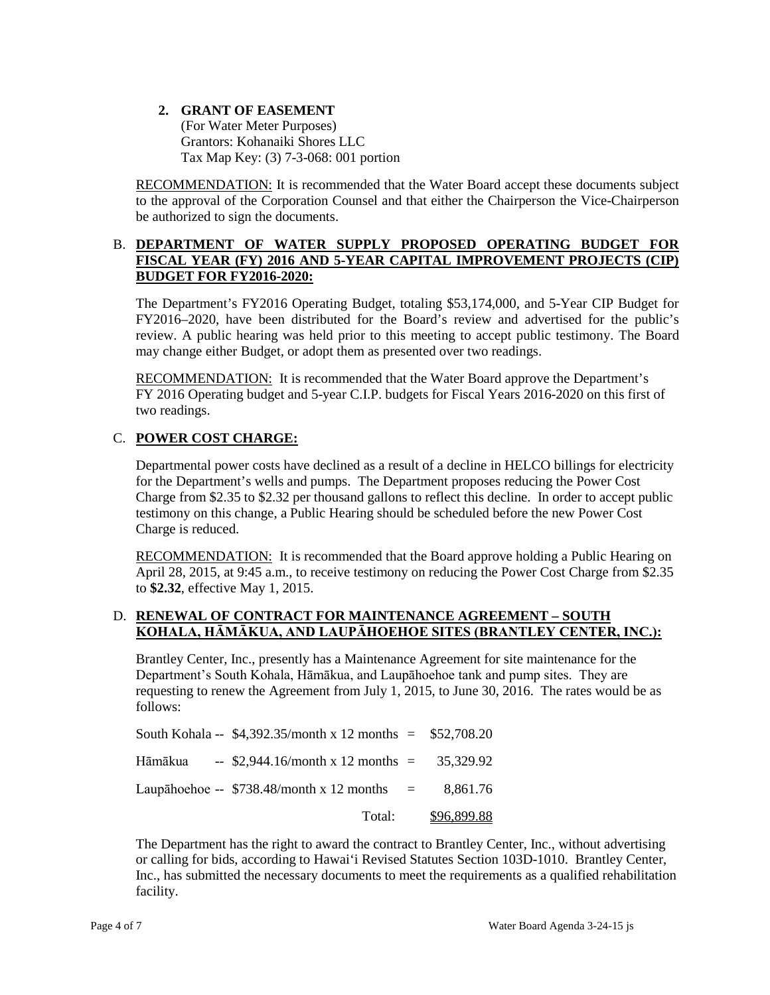#### **2. GRANT OF EASEMENT** (For Water Meter Purposes) Grantors: Kohanaiki Shores LLC Tax Map Key: (3) 7-3-068: 001 portion

RECOMMENDATION: It is recommended that the Water Board accept these documents subject to the approval of the Corporation Counsel and that either the Chairperson the Vice-Chairperson be authorized to sign the documents.

## B. **DEPARTMENT OF WATER SUPPLY PROPOSED OPERATING BUDGET FOR FISCAL YEAR (FY) 2016 AND 5-YEAR CAPITAL IMPROVEMENT PROJECTS (CIP) BUDGET FOR FY2016-2020:**

The Department's FY2016 Operating Budget, totaling \$53,174,000, and 5-Year CIP Budget for FY2016–2020, have been distributed for the Board's review and advertised for the public's review. A public hearing was held prior to this meeting to accept public testimony. The Board may change either Budget, or adopt them as presented over two readings.

**RECOMMENDATION:** It is recommended that the Water Board approve the Department's FY 2016 Operating budget and 5-year C.I.P. budgets for Fiscal Years 2016-2020 on this first of two readings.

# C. **POWER COST CHARGE:**

Departmental power costs have declined as a result of a decline in HELCO billings for electricity for the Department's wells and pumps. The Department proposes reducing the Power Cost Charge from \$2.35 to \$2.32 per thousand gallons to reflect this decline. In order to accept public testimony on this change, a Public Hearing should be scheduled before the new Power Cost Charge is reduced.

RECOMMENDATION: It is recommended that the Board approve holding a Public Hearing on April 28, 2015, at 9:45 a.m., to receive testimony on reducing the Power Cost Charge from \$2.35 to **\$2.32**, effective May 1, 2015.

#### D. **RENEWAL OF CONTRACT FOR MAINTENANCE AGREEMENT – SOUTH KOHALA, HĀMĀKUA, AND LAUPĀHOEHOE SITES (BRANTLEY CENTER, INC.):**

Brantley Center, Inc., presently has a Maintenance Agreement for site maintenance for the Department's South Kohala, Hāmākua, and Laupāhoehoe tank and pump sites. They are requesting to renew the Agreement from July 1, 2015, to June 30, 2016. The rates would be as follows:

| Total:                                                        | <u>\$96,899.88</u> |
|---------------------------------------------------------------|--------------------|
| Laupāhoehoe -- $$738.48/month x 12 months =$                  | 8.861.76           |
| Hāmākua -- \$2,944.16/month x 12 months = $35,329.92$         |                    |
| South Kohala -- $$4,392.35/m$ onth x 12 months = $$52,708.20$ |                    |

The Department has the right to award the contract to Brantley Center, Inc., without advertising or calling for bids, according to Hawai'i Revised Statutes Section 103D-1010. Brantley Center, Inc., has submitted the necessary documents to meet the requirements as a qualified rehabilitation facility.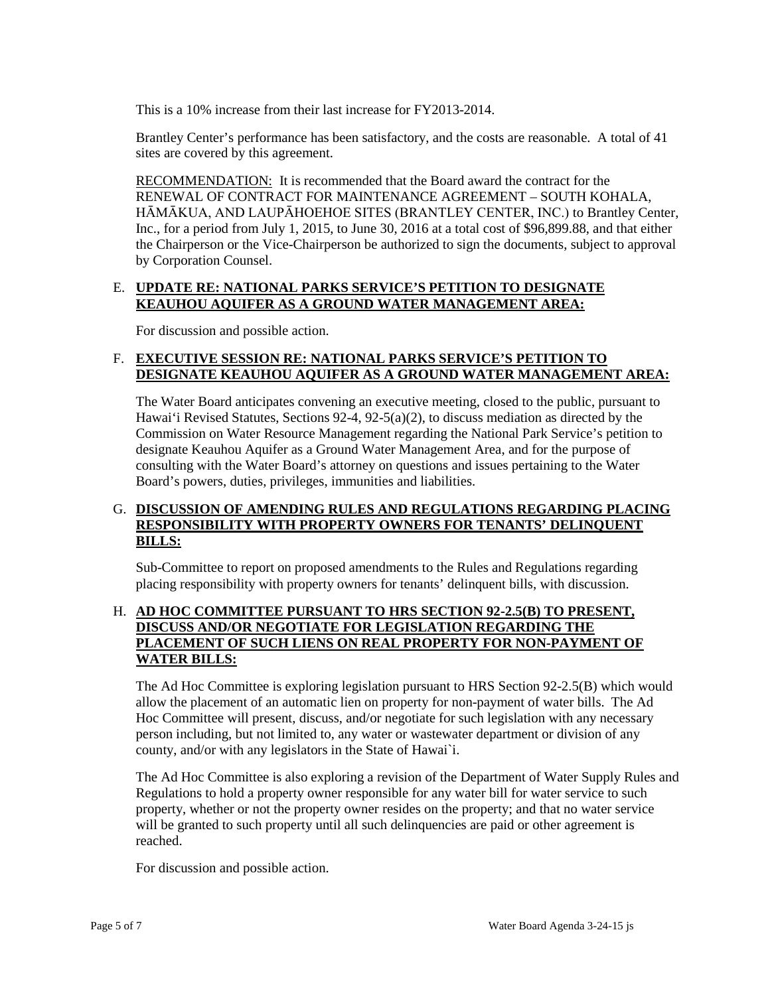This is a 10% increase from their last increase for FY2013-2014.

Brantley Center's performance has been satisfactory, and the costs are reasonable. A total of 41 sites are covered by this agreement.

RECOMMENDATION: It is recommended that the Board award the contract for the RENEWAL OF CONTRACT FOR MAINTENANCE AGREEMENT – SOUTH KOHALA, HĀMĀKUA, AND LAUPĀHOEHOE SITES (BRANTLEY CENTER, INC.) to Brantley Center, Inc., for a period from July 1, 2015, to June 30, 2016 at a total cost of \$96,899.88, and that either the Chairperson or the Vice-Chairperson be authorized to sign the documents, subject to approval by Corporation Counsel.

#### E. **UPDATE RE: NATIONAL PARKS SERVICE'S PETITION TO DESIGNATE KEAUHOU AQUIFER AS A GROUND WATER MANAGEMENT AREA:**

For discussion and possible action.

## F. **EXECUTIVE SESSION RE: NATIONAL PARKS SERVICE'S PETITION TO DESIGNATE KEAUHOU AQUIFER AS A GROUND WATER MANAGEMENT AREA:**

The Water Board anticipates convening an executive meeting, closed to the public, pursuant to Hawai'i Revised Statutes, Sections 92-4, 92-5(a)(2), to discuss mediation as directed by the Commission on Water Resource Management regarding the National Park Service's petition to designate Keauhou Aquifer as a Ground Water Management Area, and for the purpose of consulting with the Water Board's attorney on questions and issues pertaining to the Water Board's powers, duties, privileges, immunities and liabilities.

## G. **DISCUSSION OF AMENDING RULES AND REGULATIONS REGARDING PLACING RESPONSIBILITY WITH PROPERTY OWNERS FOR TENANTS' DELINQUENT BILLS:**

Sub-Committee to report on proposed amendments to the Rules and Regulations regarding placing responsibility with property owners for tenants' delinquent bills, with discussion.

#### H. **AD HOC COMMITTEE PURSUANT TO HRS SECTION 92-2.5(B) TO PRESENT, DISCUSS AND/OR NEGOTIATE FOR LEGISLATION REGARDING THE PLACEMENT OF SUCH LIENS ON REAL PROPERTY FOR NON-PAYMENT OF WATER BILLS:**

The Ad Hoc Committee is exploring legislation pursuant to HRS Section 92-2.5(B) which would allow the placement of an automatic lien on property for non-payment of water bills. The Ad Hoc Committee will present, discuss, and/or negotiate for such legislation with any necessary person including, but not limited to, any water or wastewater department or division of any county, and/or with any legislators in the State of Hawai`i.

The Ad Hoc Committee is also exploring a revision of the Department of Water Supply Rules and Regulations to hold a property owner responsible for any water bill for water service to such property, whether or not the property owner resides on the property; and that no water service will be granted to such property until all such delinquencies are paid or other agreement is reached.

For discussion and possible action.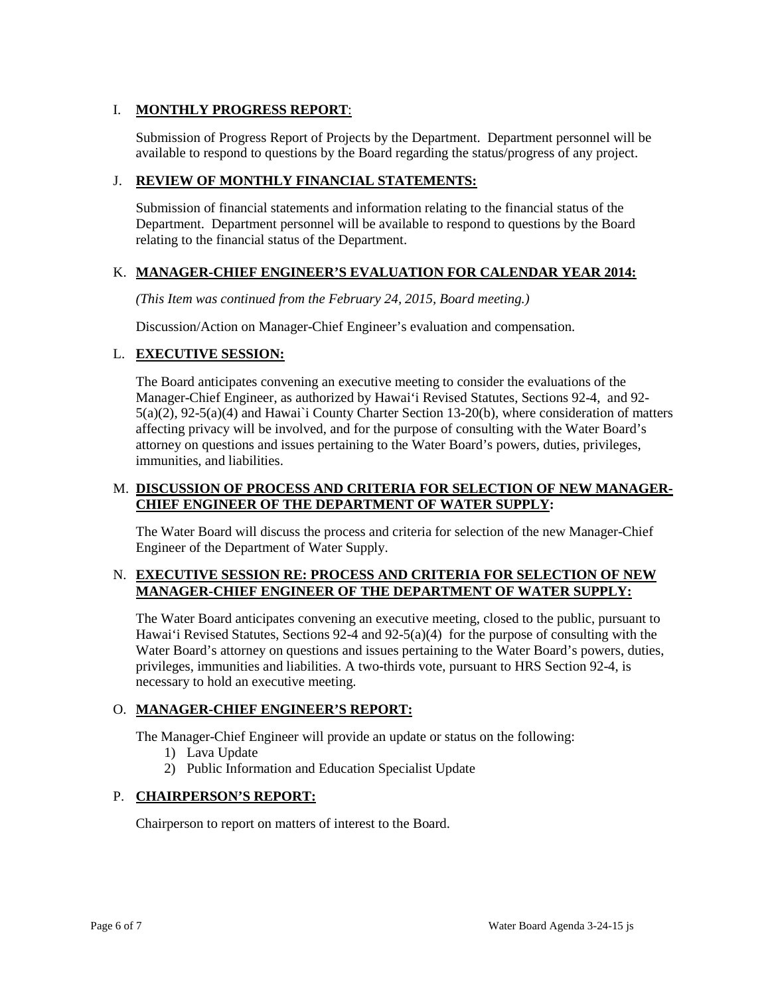## I. **MONTHLY PROGRESS REPORT**:

Submission of Progress Report of Projects by the Department. Department personnel will be available to respond to questions by the Board regarding the status/progress of any project.

#### J. **REVIEW OF MONTHLY FINANCIAL STATEMENTS:**

Submission of financial statements and information relating to the financial status of the Department. Department personnel will be available to respond to questions by the Board relating to the financial status of the Department.

#### K. **MANAGER-CHIEF ENGINEER'S EVALUATION FOR CALENDAR YEAR 2014:**

*(This Item was continued from the February 24, 2015, Board meeting.)*

Discussion/Action on Manager-Chief Engineer's evaluation and compensation.

#### L. **EXECUTIVE SESSION:**

The Board anticipates convening an executive meeting to consider the evaluations of the Manager-Chief Engineer, as authorized by Hawai'i Revised Statutes, Sections 92-4, and 92- 5(a)(2), 92-5(a)(4) and Hawai`i County Charter Section 13-20(b), where consideration of matters affecting privacy will be involved, and for the purpose of consulting with the Water Board's attorney on questions and issues pertaining to the Water Board's powers, duties, privileges, immunities, and liabilities.

#### M. **DISCUSSION OF PROCESS AND CRITERIA FOR SELECTION OF NEW MANAGER-CHIEF ENGINEER OF THE DEPARTMENT OF WATER SUPPLY:**

The Water Board will discuss the process and criteria for selection of the new Manager-Chief Engineer of the Department of Water Supply.

#### N. **EXECUTIVE SESSION RE: PROCESS AND CRITERIA FOR SELECTION OF NEW MANAGER-CHIEF ENGINEER OF THE DEPARTMENT OF WATER SUPPLY:**

The Water Board anticipates convening an executive meeting, closed to the public, pursuant to Hawai'i Revised Statutes, Sections 92-4 and 92-5(a)(4) for the purpose of consulting with the Water Board's attorney on questions and issues pertaining to the Water Board's powers, duties, privileges, immunities and liabilities. A two-thirds vote, pursuant to HRS Section 92-4, is necessary to hold an executive meeting.

#### O. **MANAGER-CHIEF ENGINEER'S REPORT:**

The Manager-Chief Engineer will provide an update or status on the following:

- 1) Lava Update
- 2) Public Information and Education Specialist Update

#### P. **CHAIRPERSON'S REPORT:**

Chairperson to report on matters of interest to the Board.